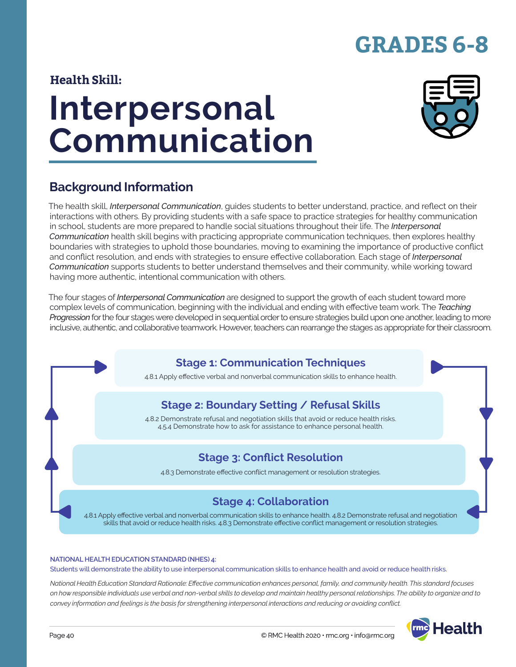# **GRADES 6-8**

### **Health Skill:**

# **Interpersonal Communication**



### **Background Information**

The health skill, *Interpersonal Communication*, guides students to better understand, practice, and reflect on their interactions with others. By providing students with a safe space to practice strategies for healthy communication in school, students are more prepared to handle social situations throughout their life. The *Interpersonal Communication* health skill begins with practicing appropriate communication techniques, then explores healthy boundaries with strategies to uphold those boundaries, moving to examining the importance of productive conflict and conflict resolution, and ends with strategies to ensure effective collaboration. Each stage of *Interpersonal Communication* supports students to better understand themselves and their community, while working toward having more authentic, intentional communication with others.

The four stages of *Interpersonal Communication* are designed to support the growth of each student toward more complex levels of communication, beginning with the individual and ending with effective team work. The *Teaching Progression* for the four stages were developed in sequential order to ensure strategies build upon one another, leading to more inclusive, authentic, and collaborative teamwork. However, teachers can rearrange the stages as appropriate for their classroom.

### **Stage 1: Communication Techniques**

4.8.1 Apply effective verbal and nonverbal communication skills to enhance health.

### **Stage 2: Boundary Setting / Refusal Skills**

4.8.2 Demonstrate refusal and negotiation skills that avoid or reduce health risks. 4.5.4 Demonstrate how to ask for assistance to enhance personal health.

### **Stage 3: Conflict Resolution**

4.8.3 Demonstrate effective conflict management or resolution strategies.

### **Stage 4: Collaboration**

4.8.1 Apply effective verbal and nonverbal communication skills to enhance health. 4.8.2 Demonstrate refusal and negotiation skills that avoid or reduce health risks. 4.8.3 Demonstrate effective conflict management or resolution strategies.

#### **NATIONAL HEALTH EDUCATION STANDARD (NHES) 4:**

Students will demonstrate the ability to use interpersonal communication skills to enhance health and avoid or reduce health risks.

*National Health Education Standard Rationale: Effective communication enhances personal, family, and community health. This standard focuses on how responsible individuals use verbal and non-verbal skills to develop and maintain healthy personal relationships. The ability to organize and to convey information and feelings is the basis for strengthening interpersonal interactions and reducing or avoiding conflict.*

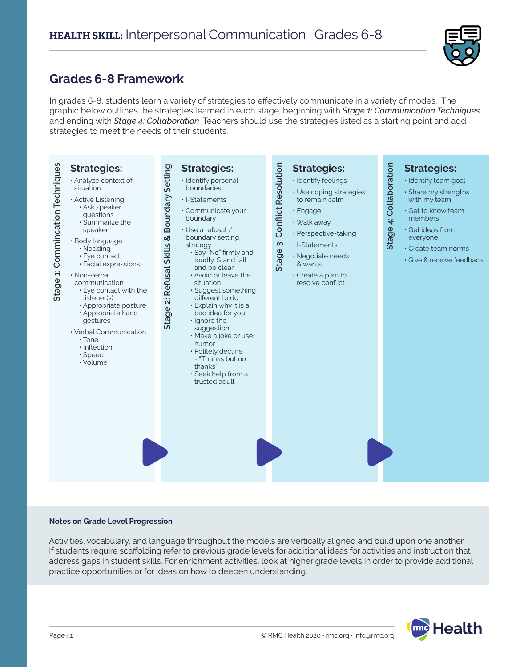

### **Grades 6-8 Framework**

In grades 6-8, students learn a variety of strategies to effectively communicate in a variety of modes. The graphic below outlines the strategies learned in each stage, beginning with *Stage 1: Communication Techniques* and ending with *Stage 4: Collaboration*. Teachers should use the strategies listed as a starting point and add strategies to meet the needs of their students.



#### **Notes on Grade Level Progression**

Activities, vocabulary, and language throughout the models are vertically aligned and build upon one another. If students require scaffolding refer to previous grade levels for additional ideas for activities and instruction that address gaps in student skills. For enrichment activities, look at higher grade levels in order to provide additional practice opportunities or for ideas on how to deepen understanding.

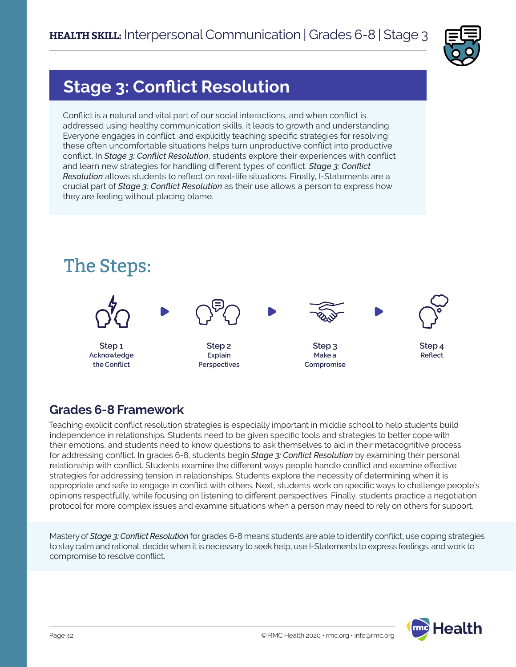

# **Stage 3: Conflict Resolution**

Conflict is a natural and vital part of our social interactions, and when conflict is addressed using healthy communication skills, it leads to growth and understanding. Everyone engages in conflict, and explicitly teaching specific strategies for resolving these often uncomfortable situations helps turn unproductive conflict into productive conflict. In *Stage 3: Conflict Resolution*, students explore their experiences with conflict and learn new strategies for handling different types of conflict. *Stage 3: Conflict Resolution* allows students to reflect on real-life situations. Finally, I-Statements are a crucial part of *Stage 3: Conflict Resolution* as their use allows a person to express how they are feeling without placing blame.



### **Grades 6-8 Framework**

Teaching explicit conflict resolution strategies is especially important in middle school to help students build independence in relationships. Students need to be given specific tools and strategies to better cope with their emotions, and students need to know questions to ask themselves to aid in their metacognitive process for addressing conflict. In grades 6-8, students begin *Stage 3: Conflict Resolution* by examining their personal relationship with conflict. Students examine the different ways people handle conflict and examine effective strategies for addressing tension in relationships. Students explore the necessity of determining when it is appropriate and safe to engage in conflict with others. Next, students work on specific ways to challenge people's opinions respectfully, while focusing on listening to different perspectives. Finally, students practice a negotiation protocol for more complex issues and examine situations when a person may need to rely on others for support.

Mastery of *Stage 3: Conflict Resolution* for grades 6-8 means students are able to identify conflict, use coping strategies to stay calm and rational, decide when it is necessary to seek help, use I-Statements to express feelings, and work to compromise to resolve conflict.

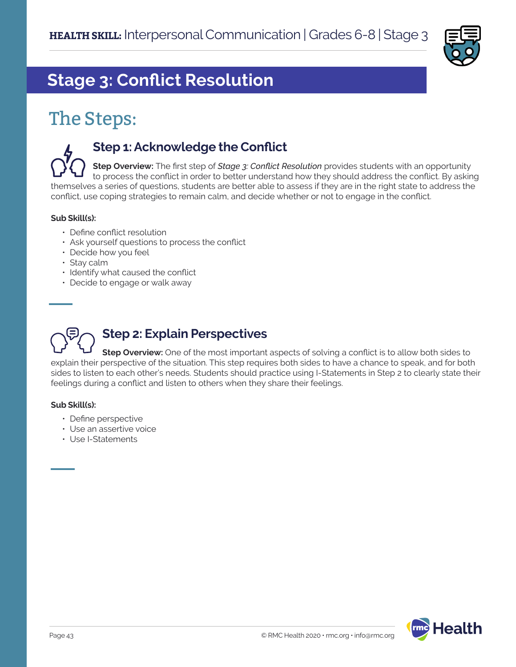

# **Stage 3: Conflict Resolution**

# The Steps:

### **Step 1: Acknowledge the Conflict**

**Step Overview:** The first step of *Stage 3: Conflict Resolution* provides students with an opportunity to process the conflict in order to better understand how they should address the conflict. By asking themselves a series of questions, students are better able to assess if they are in the right state to address the conflict, use coping strategies to remain calm, and decide whether or not to engage in the conflict.

### **Sub Skill(s):**

- Define conflict resolution
- Ask yourself questions to process the conflict
- Decide how you feel
- Stay calm
- Identify what caused the conflict
- Decide to engage or walk away

# **Step 2: Explain Perspectives**

**Step Overview:** One of the most important aspects of solving a conflict is to allow both sides to explain their perspective of the situation. This step requires both sides to have a chance to speak, and for both sides to listen to each other's needs. Students should practice using I-Statements in Step 2 to clearly state their feelings during a conflict and listen to others when they share their feelings.

#### **Sub Skill(s):**

- Define perspective
- Use an assertive voice
- Use I-Statements